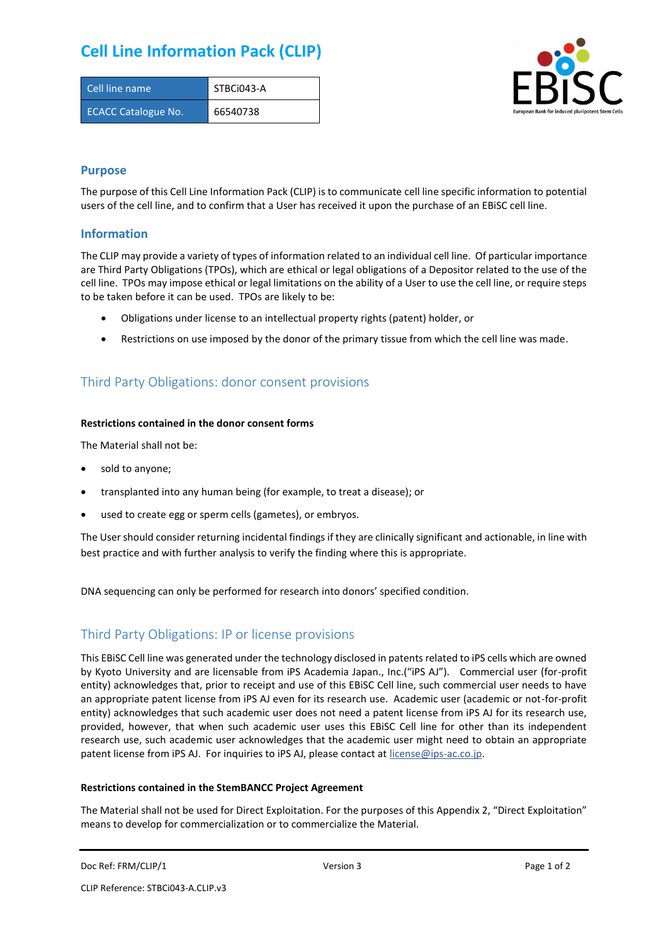# **Cell Line Information Pack (CLIP)**

| Cell line name             | STBCi043-A |
|----------------------------|------------|
| <b>ECACC Catalogue No.</b> | 66540738   |



### **Purpose**

The purpose of this Cell Line Information Pack (CLIP) is to communicate cell line specific information to potential users of the cell line, and to confirm that a User has received it upon the purchase of an EBiSC cell line.

### **Information**

The CLIP may provide a variety of types of information related to an individual cell line. Of particular importance are Third Party Obligations (TPOs), which are ethical or legal obligations of a Depositor related to the use of the cell line. TPOs may impose ethical or legal limitations on the ability of a User to use the cell line, or require steps to be taken before it can be used. TPOs are likely to be:

- Obligations under license to an intellectual property rights (patent) holder, or
- Restrictions on use imposed by the donor of the primary tissue from which the cell line was made.

## Third Party Obligations: donor consent provisions

#### **Restrictions contained in the donor consent forms**

The Material shall not be:

- sold to anyone;
- transplanted into any human being (for example, to treat a disease); or
- used to create egg or sperm cells (gametes), or embryos.

The User should consider returning incidental findings if they are clinically significant and actionable, in line with best practice and with further analysis to verify the finding where this is appropriate.

DNA sequencing can only be performed for research into donors' specified condition.

## Third Party Obligations: IP or license provisions

This EBiSC Cell line was generated under the technology disclosed in patents related to iPS cells which are owned by Kyoto University and are licensable from iPS Academia Japan., Inc.("iPS AJ"). Commercial user (for-profit entity) acknowledges that, prior to receipt and use of this EBiSC Cell line, such commercial user needs to have an appropriate patent license from iPS AJ even for its research use. Academic user (academic or not-for-profit entity) acknowledges that such academic user does not need a patent license from iPS AJ for its research use, provided, however, that when such academic user uses this EBiSC Cell line for other than its independent research use, such academic user acknowledges that the academic user might need to obtain an appropriate patent license from iPS AJ. For inquiries to iPS AJ, please contact at [license@ips-ac.co.jp.](mailto:license@ips-ac.co.jp)

#### **Restrictions contained in the StemBANCC Project Agreement**

The Material shall not be used for Direct Exploitation. For the purposes of this Appendix 2, "Direct Exploitation" means to develop for commercialization or to commercialize the Material.

```
Doc Ref: FRM/CLIP/1 Docessity Version 3 Page 1 of 2 Page 1 of 2
```